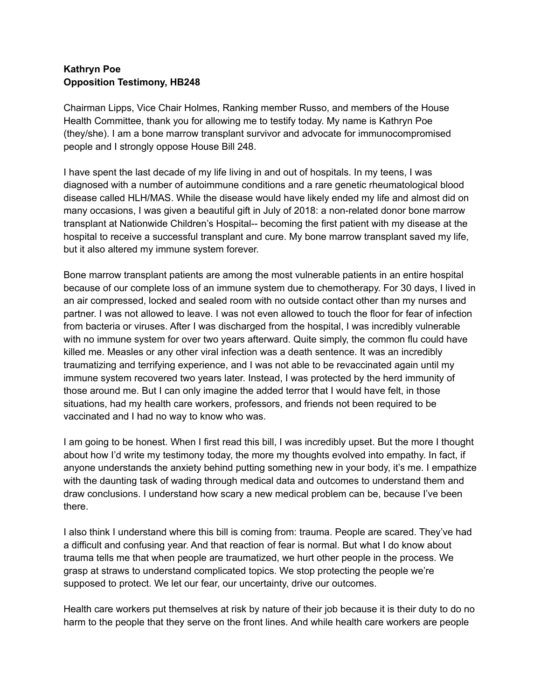## **Kathryn Poe Opposition Testimony, HB248**

Chairman Lipps, Vice Chair Holmes, Ranking member Russo, and members of the House Health Committee, thank you for allowing me to testify today. My name is Kathryn Poe (they/she). I am a bone marrow transplant survivor and advocate for immunocompromised people and I strongly oppose House Bill 248.

I have spent the last decade of my life living in and out of hospitals. In my teens, I was diagnosed with a number of autoimmune conditions and a rare genetic rheumatological blood disease called HLH/MAS. While the disease would have likely ended my life and almost did on many occasions, I was given a beautiful gift in July of 2018: a non-related donor bone marrow transplant at Nationwide Children's Hospital-- becoming the first patient with my disease at the hospital to receive a successful transplant and cure. My bone marrow transplant saved my life, but it also altered my immune system forever.

Bone marrow transplant patients are among the most vulnerable patients in an entire hospital because of our complete loss of an immune system due to chemotherapy. For 30 days, I lived in an air compressed, locked and sealed room with no outside contact other than my nurses and partner. I was not allowed to leave. I was not even allowed to touch the floor for fear of infection from bacteria or viruses. After I was discharged from the hospital, I was incredibly vulnerable with no immune system for over two years afterward. Quite simply, the common flu could have killed me. Measles or any other viral infection was a death sentence. It was an incredibly traumatizing and terrifying experience, and I was not able to be revaccinated again until my immune system recovered two years later. Instead, I was protected by the herd immunity of those around me. But I can only imagine the added terror that I would have felt, in those situations, had my health care workers, professors, and friends not been required to be vaccinated and I had no way to know who was.

I am going to be honest. When I first read this bill, I was incredibly upset. But the more I thought about how I'd write my testimony today, the more my thoughts evolved into empathy. In fact, if anyone understands the anxiety behind putting something new in your body, it's me. I empathize with the daunting task of wading through medical data and outcomes to understand them and draw conclusions. I understand how scary a new medical problem can be, because I've been there.

I also think I understand where this bill is coming from: trauma. People are scared. They've had a difficult and confusing year. And that reaction of fear is normal. But what I do know about trauma tells me that when people are traumatized, we hurt other people in the process. We grasp at straws to understand complicated topics. We stop protecting the people we're supposed to protect. We let our fear, our uncertainty, drive our outcomes.

Health care workers put themselves at risk by nature of their job because it is their duty to do no harm to the people that they serve on the front lines. And while health care workers are people